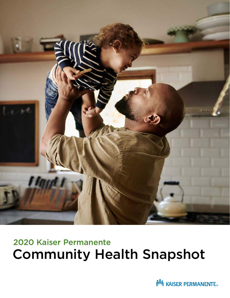

# 2020 Kaiser Permanente Community Health Snapshot

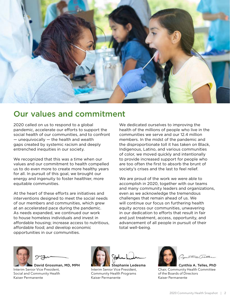

# Our values and commitment

2020 called on us to respond to a global pandemic, accelerate our efforts to support the social health of our communities, and to confront — unequivocally — the health and wealth gaps created by systemic racism and deeply entrenched inequities in our society.

We recognized that this was a time when our values and our commitment to health compelled us to do even more to create more healthy years for all. In pursuit of this goal, we brought our energy and ingenuity to foster healthier, more equitable communities.

At the heart of these efforts are initiatives and interventions designed to meet the social needs of our members and communities, which grew at an accelerated pace during the pandemic. As needs expanded, we continued our work to house homeless individuals and invest in affordable housing; increase access to nutritious, affordable food; and develop economic opportunities in our communities.

We dedicated ourselves to improving the health of the millions of people who live in the communities we serve and our 12.4 million members. In the midst of the pandemic and the disproportionate toll it has taken on Black, Indigenous, Latino, and various communities of color, we moved quickly and intentionally to provide increased support for people who are too often the first to absorb the brunt of society's crises and the last to feel relief.

We are proud of the work we were able to accomplish in 2020, together with our teams and many community leaders and organizations, even as we acknowledge the tremendous challenges that remain ahead of us. We will continue our focus on furthering health equity across our communities, unwavering in our dedication to efforts that result in fair and just treatment, access, opportunity, and advancement of all people in pursuit of their total well-being.





David Grossman, MD, MPH Interim Senior Vice President, Social and Community Health Kaiser Permanente



Stephanie Ledesma Interim Senior Vice President, Community Health Programs Kaiser Permanente

Cynthia A. Telles, PhD Chair, Community Health Committee of the Boards of Directors Kaiser Permanente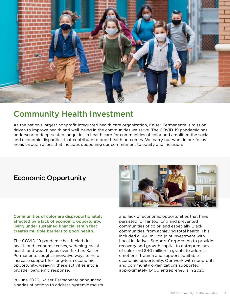

# Community Health Investment

As the nation's largest nonprofit integrated health care organization, Kaiser Permanente is missiondriven to improve health and well-being in the communities we serve. The COVID-19 pandemic has underscored deep-seated inequities in health care for communities of color and amplified the social and economic disparities that contribute to poor health outcomes. We carry out work in our focus areas through a lens that includes deepening our commitment to equity and inclusion.

# Economic Opportunity

Communities of color are disproportionately affected by a lack of economic opportunity, living under sustained financial strain that creates multiple barriers to good health.

The COVID-19 pandemic has fueled dual health and economic crises, widening racial health and wealth gaps even further. Kaiser Permanente sought innovative ways to help increase support for long-term economic opportunity, weaving these activities into a broader pandemic response.

In June 2020, Kaiser Permanente announced a series of actions to address systemic racism



and lack of economic opportunities that have persisted for far too long and prevented communities of color, and especially Black communities, from achieving total health. This included a \$60 million joint investment with Local Initiatives Support Corporation to provide recovery and growth capital to entrepreneurs of color and \$40 million in grants to address emotional trauma and support equitable economic opportunity. Our work with nonprofits and community organizations supported approximately 1,400 entrepreneurs in 2020.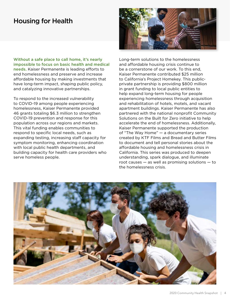### Housing for Health

Without a safe place to call home, it's nearly impossible to focus on basic health and medical needs. Kaiser Permanente is leading efforts to end homelessness and preserve and increase affordable housing by making investments that have long-term impact, shaping public policy, and catalyzing innovative partnerships.

To respond to the increased vulnerability to COVID-19 among people experiencing homelessness, Kaiser Permanente provided 46 grants totaling \$6.3 million to strengthen COVID-19 prevention and response for this population across our regions and markets. This vital funding enables communities to respond to specific local needs, such as expanding testing, increasing staff capacity for symptom monitoring, enhancing coordination with local public health departments, and building capacity for health care providers who serve homeless people.



Long-term solutions to the homelessness and affordable housing crisis continue to be a cornerstone of our work. To this end, Kaiser Permanente contributed \$25 million to California's Project Homekey. This publicprivate partnership is providing \$800 million in grant funding to local public entities to help expand long-term housing for people experiencing homelessness through acquisition and rehabilitation of hotels, motels, and vacant apartment buildings. Kaiser Permanente has also partnered with the national nonprofit Community Solutions on the Built for Zero initiative to help accelerate the end of homelessness. Additionally, Kaiser Permanente supported the production of "The Way Home" — a documentary series created by KTF Films and Bread and Butter Films to document and tell personal stories about the affordable housing and homelessness crisis in California. This series was produced to deepen understanding, spark dialogue, and illuminate root causes  $-$  as well as promising solutions  $-$  to the homelessness crisis.

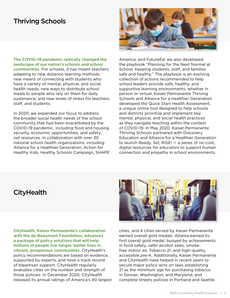### Thriving Schools

The COVID-19 pandemic radically changed the landscape of our nation's schools and school communities. For schools, it has meant teachers adapting to new distance-learning methods; new means of connecting with students who have a variety of mental, physical, and social health needs; new ways to distribute school meals to people who rely on them for daily sustenance; and new levels of stress for teachers, staff, and students.

In 2020, we expanded our focus to address the broader social health needs of the school community that had been exacerbated by the COVID-19 pandemic, including food and housing security, economic opportunities, and safety net resources. In collaboration with over 30 national school health organizations, including Alliance for a Healthier Generation, Action for Healthy Kids, Healthy Schools Campaign, SHAPE



America, and FutureEd, we also developed the playbook "Planning for the Next Normal at School: Keeping students, staff, and families safe and healthy." The playbook is an evolving collection of actions recommended to help school leaders provide safe, healthy, and supportive learning environments, whether in person or virtual. Kaiser Permanente Thriving Schools and Alliance for a Healthier Generation developed the Quick Start Health Assessment, a unique online tool designed to help schools and districts prioritize and implement key mental, physical, and social health practices as they navigate teaching within the context of COVID-19. In May 2020, Kaiser Permanente Thriving Schools partnered with Discovery Education and Alliance for a Healthier Generation to launch Ready, Set, RISE! — a series of no-cost, digital resources for educators to support human connection and empathy in school environments.

### **CityHealth**

CityHealth, Kaiser Permanente's collaboration with the de Beaumont Foundation, advances a package of policy solutions that will help millions of people live longer, better lives in vibrant, prosperous communities. CityHealth's policy recommendations are based on evidence, supported by experts, and have a track record of bipartisan support. CityHealth regularly evaluates cities on the number and strength of those policies. In December 2020, CityHealth released its annual ratings of America's 40 largest



cities, and 4 cities served by Kaiser Permanente earned overall gold medals. Atlanta earned its first overall gold medal, buoyed by achievements in food safety, safer alcohol sales, smokefree indoor air, Tobacco 21, and high-quality, accessible pre-K. Additionally, Kaiser Permanente and CityHealth have helped in recent years to secure major policy wins on laws establishing 21 as the minimum age for purchasing tobacco in Denver, Washington, and Maryland, and complete streets policies in Portland and Seattle.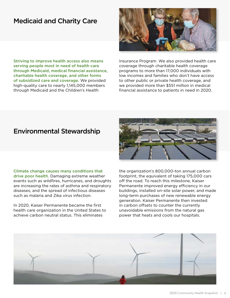### Medicaid and Charity Care

Striving to improve health access also means serving people most in need of health care through Medicaid, medical financial assistance, charitable health coverage, and other forms of subsidized care and coverage. We provided high-quality care to nearly 1,145,000 members through Medicaid and the Children's Health



Insurance Program. We also provided health care coverage through charitable health coverage programs to more than 17,000 individuals with low incomes and families who don't have access to other public or private health coverage, and we provided more than \$551 million in medical financial assistance to patients in need in 2020.

### Environmental Stewardship

Climate change causes many conditions that drive poor health. Damaging extreme weather events such as wildfires, hurricanes, and droughts are increasing the rates of asthma and respiratory diseases, and the spread of infectious diseases such as malaria and Zika virus infection.

In 2020, Kaiser Permanente became the first health care organization in the United States to achieve carbon neutral status. This eliminates



the organization's 800,000-ton annual carbon footprint, the equivalent of taking 175,000 cars off the road. To reach this milestone, Kaiser Permanente improved energy efficiency in our buildings, installed on-site solar power, and made long-term purchases of new renewable energy generation. Kaiser Permanente then invested in carbon offsets to counter the currently unavoidable emissions from the natural gas power that heats and cools our hospitals.

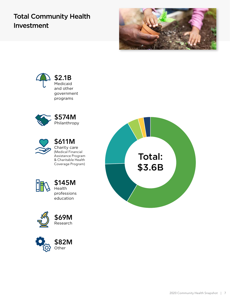# Total Community Health Investment









\$611M Charity care (Medical Financial Assistance Program & Charitable Health Coverage Program)









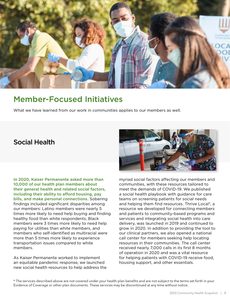

# Member-Focused Initiatives

What we have learned from our work in communities applies to our members as well.

## Social Health

In 2020, Kaiser Permanente asked more than 10,000 of our health plan members about their general health and related social factors, including their ability to afford housing, pay bills, and make personal connections. Sobering findings included significant disparities among our members: Latino members were nearly 5 times more likely to need help buying and finding healthy food than white respondents, Black members were 3 times more likely to need help paying for utilities than white members, and members who self-identified as multiracial were more than 5 times more likely to experience transportation issues compared to white members.

As Kaiser Permanente worked to implement an equitable pandemic response, we launched new social health resources to help address the



myriad social factors affecting our members and communities, with these resources tailored to meet the demands of COVID-19. We published a social health playbook with guidance for care teams on screening patients for social needs and helping them find resources. Thrive Local\*, a resource we developed for connecting members and patients to community-based programs and services and integrating social health into care delivery, was launched in 2019 and continued to grow in 2020. In addition to providing the tool to our clinical partners, we also opened a national call center for members seeking help locating resources in their communities. The call center received nearly 7,000 calls in its first 8 months of operation in 2020 and was a vital resource for helping patients with COVID-19 receive food, housing support, and other essentials.

\* The services described above are not covered under your health plan benefits and are not subject to the terms set forth in your Evidence of Coverage or other plan documents. These services may be discontinued at any time without notice.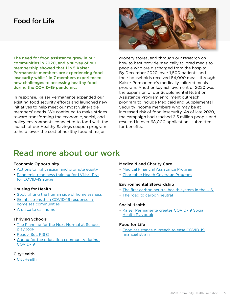## Food for Life

The need for food assistance grew in our communities in 2020, and a survey of our membership showed that 1 in 5 Kaiser Permanente members are experiencing food insecurity while 1 in 7 members experienced new challenges to accessing healthy food during the COVID-19 pandemic.

In response, Kaiser Permanente expanded our existing food security efforts and launched new initiatives to help meet our most vulnerable members' needs. We continued to make strides toward transforming the economic, social, and policy environments connected to food with the launch of our Healthy Savings coupon program to help lower the cost of healthy food at major



grocery stores, and through our research on how to best provide medically tailored meals to people who are discharged from the hospital. By December 2020, over 1,500 patients and their households received 84,000 meals through Kaiser Permanente's medically tailored meals program. Another key achievement of 2020 was the expansion of our Supplemental Nutrition Assistance Program enrollment outreach program to include Medicaid and Supplemental Security Income members who may be at increased risk of food insecurity. As of late 2020, the campaign had reached 2.5 million people and resulted in over 68,000 applications submitted for benefits.

# Read more about our work

#### Economic Opportunity

- [Actions to fight racism and promote equity](https://about.kaiserpermanente.org/our-story/news/announcements/kaiser-permanente-takes-new-actions-to-fight-racism-and-promote-)
- [Pandemic-readiness training for LVNs/LPNs](https://about.kaiserpermanente.org/our-story/news/announcements/pandemic-readiness-training-for-lvns-lpns-for-covid-19-surge) [for COVID-19 surge](https://about.kaiserpermanente.org/our-story/news/announcements/pandemic-readiness-training-for-lvns-lpns-for-covid-19-surge)

#### Housing for Health

- [Spotlighting the human side of homelessness](https://about.kaiserpermanente.org/community-health/news/spotlighting-the-human-side-of-homelessness)
- [Grants strengthen COVID-19 response in](https://about.kaiserpermanente.org/community-health/news/grants-strengthen-covid-19-response-in-homeless-communities) [homeless communities](https://about.kaiserpermanente.org/community-health/news/grants-strengthen-covid-19-response-in-homeless-communities)
- [A place to call home](https://about.kaiserpermanente.org/community-health/news/a-place-to-call-home)

#### Thriving Schools

- [The Planning for the Next Normal at School](https://thrivingschools.kaiserpermanente.org/get-inspired/coronavirus-response/schools-reopening-playbook/) [playbook](https://thrivingschools.kaiserpermanente.org/get-inspired/coronavirus-response/schools-reopening-playbook/)
- [Ready, Set, RISE!](https://www.readysetrisemodules.com/)
- [Caring for the education community during](https://thrivingschools.kaiserpermanente.org/covid19-webinars/) [COVID-19](https://thrivingschools.kaiserpermanente.org/covid19-webinars/)

#### **CityHealth**

• [CityHealth](https://www.cityhealth.org/)

#### Medicaid and Charity Care

- [Medical Financial Assistance Program](https://about.kaiserpermanente.org/community-health/about-community-health/medical-financial-assistance-program)
- [Charitable Health Coverage Program](https://charitablehealth.kaiserpermanente.org/)

#### Environmental Stewardship

- [The first carbon neutral health system in the U.S.](https://about.kaiserpermanente.org/community-health/news/first-carbon-neutral-health-system-in-us)
- [The road to carbon neutral](https://about.kaiserpermanente.org/community-health/improving-community-conditions/environmental-stewardship/the-road-to-carbon-neutral)

#### Social Health

• [Kaiser Permanente creates COVID-19 Social](https://about.kaiserpermanente.org/community-health/news/kaiser-permanente-creates-covid-19-social-health-playbook) [Health Playbook](https://about.kaiserpermanente.org/community-health/news/kaiser-permanente-creates-covid-19-social-health-playbook)

#### Food for Life

• [Food assistance outreach to ease COVID-19](https://about.kaiserpermanente.org/community-health/news/food-assistance-outreach-to-ease-covid-19-financial-strain) [financial strain](https://about.kaiserpermanente.org/community-health/news/food-assistance-outreach-to-ease-covid-19-financial-strain)